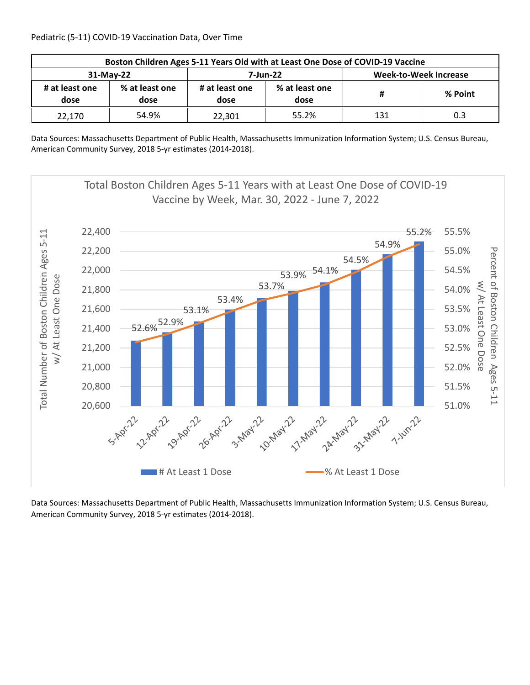| Boston Children Ages 5-11 Years Old with at Least One Dose of COVID-19 Vaccine |                        |                        |                        |                       |         |  |  |
|--------------------------------------------------------------------------------|------------------------|------------------------|------------------------|-----------------------|---------|--|--|
| 31-May-22                                                                      |                        |                        | 7-Jun-22               | Week-to-Week Increase |         |  |  |
| # at least one<br>dose                                                         | % at least one<br>dose | # at least one<br>dose | % at least one<br>dose | Ħ                     | % Point |  |  |
| 22,170                                                                         | 54.9%                  | 22,301                 | 55.2%                  | 131                   | 0.3     |  |  |

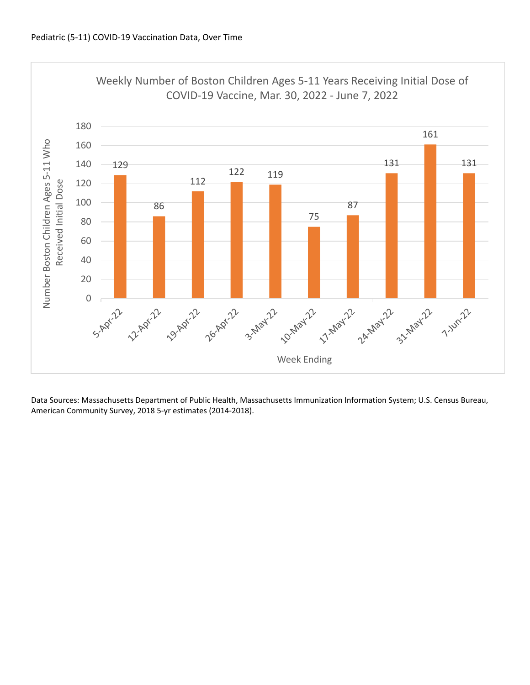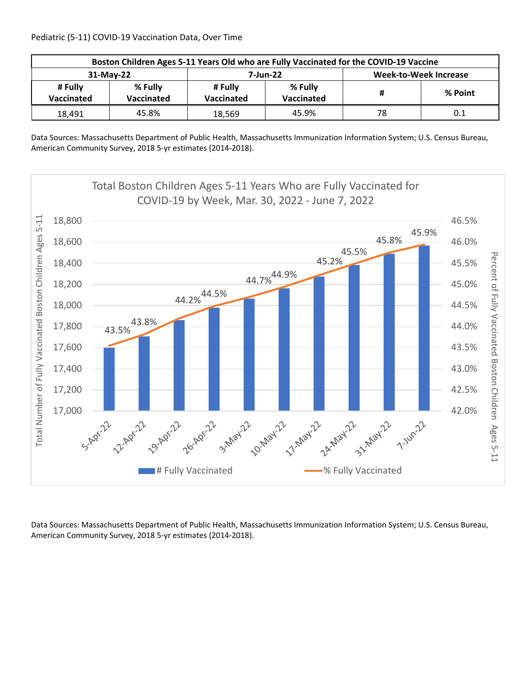| Boston Children Ages 5-11 Years Old who are Fully Vaccinated for the COVID-19 Vaccine |                              |                       |                              |                       |         |  |  |
|---------------------------------------------------------------------------------------|------------------------------|-----------------------|------------------------------|-----------------------|---------|--|--|
| 31-May-22                                                                             |                              |                       | 7-Jun-22                     | Week-to-Week Increase |         |  |  |
| # Fully<br>Vaccinated                                                                 | % Fully<br><b>Vaccinated</b> | # Fullv<br>Vaccinated | % Fully<br><b>Vaccinated</b> | #                     | % Point |  |  |
| 18,491                                                                                | 45.8%                        | 18,569                | 45.9%                        | 78                    | 0.1     |  |  |

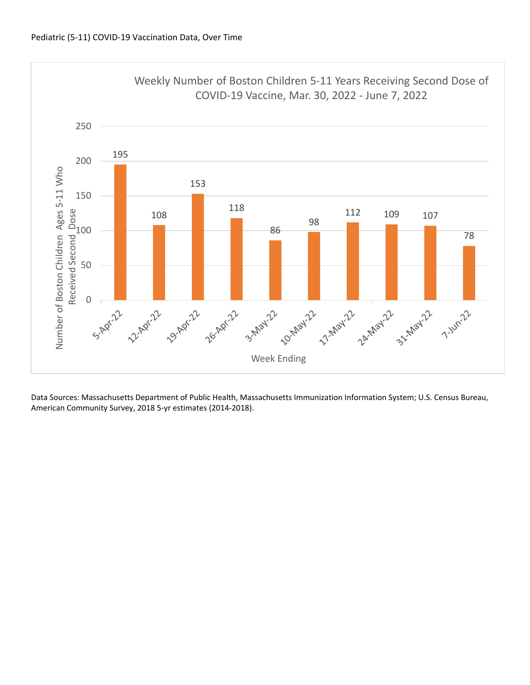

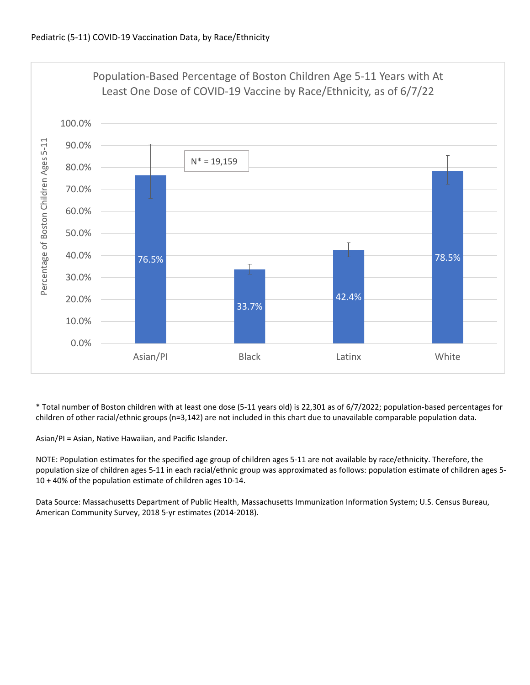

\* Total number of Boston children with at least one dose (5‐11 years old) is 22,301 as of 6/7/2022; population‐based percentages for children of other racial/ethnic groups (n=3,142) are not included in this chart due to unavailable comparable population data.

Asian/PI = Asian, Native Hawaiian, and Pacific Islander.

NOTE: Population estimates for the specified age group of children ages 5‐11 are not available by race/ethnicity. Therefore, the population size of children ages 5‐11 in each racial/ethnic group was approximated as follows: population estimate of children ages 5‐ 10 + 40% of the population estimate of children ages 10‐14.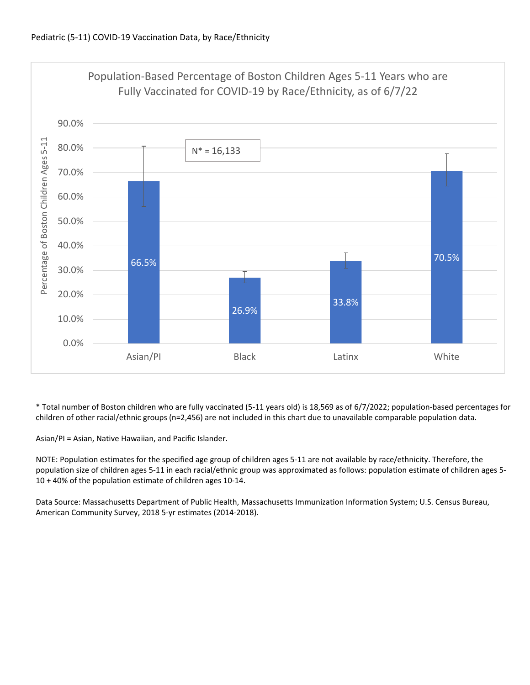

\* Total number of Boston children who are fully vaccinated (5‐11 years old) is 18,569 as of 6/7/2022; population‐based percentages for children of other racial/ethnic groups (n=2,456) are not included in this chart due to unavailable comparable population data.

Asian/PI = Asian, Native Hawaiian, and Pacific Islander.

NOTE: Population estimates for the specified age group of children ages 5‐11 are not available by race/ethnicity. Therefore, the population size of children ages 5‐11 in each racial/ethnic group was approximated as follows: population estimate of children ages 5‐ 10 + 40% of the population estimate of children ages 10‐14.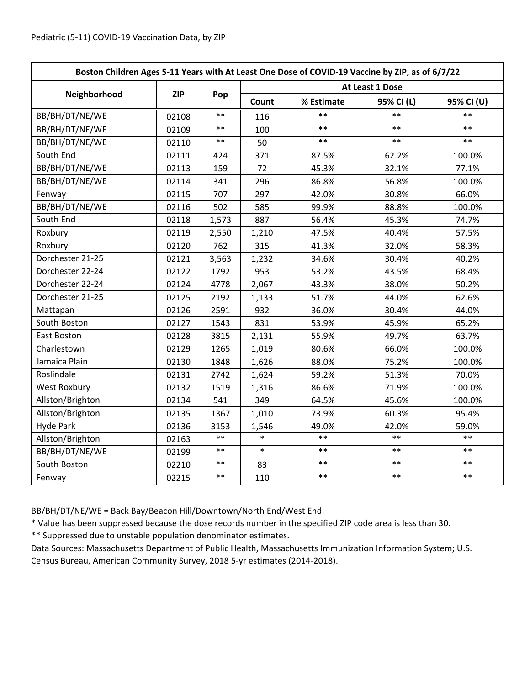| Boston Children Ages 5-11 Years with At Least One Dose of COVID-19 Vaccine by ZIP, as of 6/7/22 |            |            |                 |            |            |            |  |
|-------------------------------------------------------------------------------------------------|------------|------------|-----------------|------------|------------|------------|--|
|                                                                                                 | <b>ZIP</b> | Pop        | At Least 1 Dose |            |            |            |  |
| Neighborhood                                                                                    |            |            | Count           | % Estimate | 95% CI (L) | 95% CI (U) |  |
| BB/BH/DT/NE/WE                                                                                  | 02108      | $***$      | 116             | $\ast\ast$ | $**$       | $\ast\ast$ |  |
| BB/BH/DT/NE/WE                                                                                  | 02109      | $***$      | 100             | $***$      | $**$       | $***$      |  |
| BB/BH/DT/NE/WE                                                                                  | 02110      | $***$      | 50              | $**$       | $**$       | $***$      |  |
| South End                                                                                       | 02111      | 424        | 371             | 87.5%      | 62.2%      | 100.0%     |  |
| BB/BH/DT/NE/WE                                                                                  | 02113      | 159        | 72              | 45.3%      | 32.1%      | 77.1%      |  |
| BB/BH/DT/NE/WE                                                                                  | 02114      | 341        | 296             | 86.8%      | 56.8%      | 100.0%     |  |
| Fenway                                                                                          | 02115      | 707        | 297             | 42.0%      | 30.8%      | 66.0%      |  |
| BB/BH/DT/NE/WE                                                                                  | 02116      | 502        | 585             | 99.9%      | 88.8%      | 100.0%     |  |
| South End                                                                                       | 02118      | 1,573      | 887             | 56.4%      | 45.3%      | 74.7%      |  |
| Roxbury                                                                                         | 02119      | 2,550      | 1,210           | 47.5%      | 40.4%      | 57.5%      |  |
| Roxbury                                                                                         | 02120      | 762        | 315             | 41.3%      | 32.0%      | 58.3%      |  |
| Dorchester 21-25                                                                                | 02121      | 3,563      | 1,232           | 34.6%      | 30.4%      | 40.2%      |  |
| Dorchester 22-24                                                                                | 02122      | 1792       | 953             | 53.2%      | 43.5%      | 68.4%      |  |
| Dorchester 22-24                                                                                | 02124      | 4778       | 2,067           | 43.3%      | 38.0%      | 50.2%      |  |
| Dorchester 21-25                                                                                | 02125      | 2192       | 1,133           | 51.7%      | 44.0%      | 62.6%      |  |
| Mattapan                                                                                        | 02126      | 2591       | 932             | 36.0%      | 30.4%      | 44.0%      |  |
| South Boston                                                                                    | 02127      | 1543       | 831             | 53.9%      | 45.9%      | 65.2%      |  |
| East Boston                                                                                     | 02128      | 3815       | 2,131           | 55.9%      | 49.7%      | 63.7%      |  |
| Charlestown                                                                                     | 02129      | 1265       | 1,019           | 80.6%      | 66.0%      | 100.0%     |  |
| Jamaica Plain                                                                                   | 02130      | 1848       | 1,626           | 88.0%      | 75.2%      | 100.0%     |  |
| Roslindale                                                                                      | 02131      | 2742       | 1,624           | 59.2%      | 51.3%      | 70.0%      |  |
| <b>West Roxbury</b>                                                                             | 02132      | 1519       | 1,316           | 86.6%      | 71.9%      | 100.0%     |  |
| Allston/Brighton                                                                                | 02134      | 541        | 349             | 64.5%      | 45.6%      | 100.0%     |  |
| Allston/Brighton                                                                                | 02135      | 1367       | 1,010           | 73.9%      | 60.3%      | 95.4%      |  |
| <b>Hyde Park</b>                                                                                | 02136      | 3153       | 1,546           | 49.0%      | 42.0%      | 59.0%      |  |
| Allston/Brighton                                                                                | 02163      | $***$      | $\ast$          | $**$       | $***$      | $***$      |  |
| BB/BH/DT/NE/WE                                                                                  | 02199      | $***$      | $\ast$          | $**$       | $***$      | $***$      |  |
| South Boston                                                                                    | 02210      | $\ast\ast$ | 83              | $***$      | $***$      | $***$      |  |
| Fenway                                                                                          | 02215      | $\ast\ast$ | 110             | $***$      | $***$      | $***$      |  |

BB/BH/DT/NE/WE = Back Bay/Beacon Hill/Downtown/North End/West End.

\* Value has been suppressed because the dose records number in the specified ZIP code area is less than 30.

\*\* Suppressed due to unstable population denominator estimates.